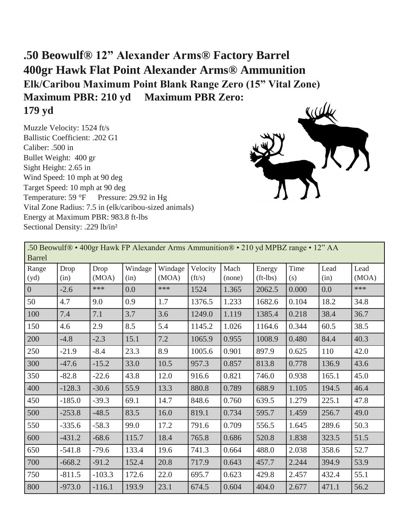## **.50 Beowulf® 12" Alexander Arms® Factory Barrel 400gr Hawk Flat Point Alexander Arms® Ammunition Elk/Caribou Maximum Point Blank Range Zero (15" Vital Zone) Maximum PBR: 210 yd Maximum PBR Zero: 179 yd**

Muzzle Velocity: 1524 ft/s Ballistic Coefficient: .202 G1 Caliber: .500 in Bullet Weight: 400 gr Sight Height: 2.65 in Wind Speed: 10 mph at 90 deg Target Speed: 10 mph at 90 deg Temperature: 59 °F Pressure: 29.92 in Hg Vital Zone Radius: 7.5 in (elk/caribou-sized animals) Energy at Maximum PBR: 983.8 ft-lbs Sectional Density: .229 lb/in²



| .50 Beowulf® • 400gr Hawk FP Alexander Arms Ammunition® • 210 yd MPBZ range • 12" AA<br><b>Barrel</b> |              |               |                 |                  |                            |                |                        |             |              |               |  |
|-------------------------------------------------------------------------------------------------------|--------------|---------------|-----------------|------------------|----------------------------|----------------|------------------------|-------------|--------------|---------------|--|
| Range<br>(yd)                                                                                         | Drop<br>(in) | Drop<br>(MOA) | Windage<br>(in) | Windage<br>(MOA) | Velocity<br>$({\rm ft/s})$ | Mach<br>(none) | Energy<br>$(ft - lbs)$ | Time<br>(s) | Lead<br>(in) | Lead<br>(MOA) |  |
| $\overline{0}$                                                                                        | $-2.6$       | ***           | 0.0             | ***              | 1524                       | 1.365          | 2062.5                 | 0.000       | 0.0          | ***           |  |
| 50                                                                                                    | 4.7          | 9.0           | 0.9             | 1.7              | 1376.5                     | 1.233          | 1682.6                 | 0.104       | 18.2         | 34.8          |  |
| 100                                                                                                   | 7.4          | 7.1           | 3.7             | 3.6              | 1249.0                     | 1.119          | 1385.4                 | 0.218       | 38.4         | 36.7          |  |
| 150                                                                                                   | 4.6          | 2.9           | 8.5             | 5.4              | 1145.2                     | 1.026          | 1164.6                 | 0.344       | 60.5         | 38.5          |  |
| 200                                                                                                   | $-4.8$       | $-2.3$        | 15.1            | 7.2              | 1065.9                     | 0.955          | 1008.9                 | 0.480       | 84.4         | 40.3          |  |
| 250                                                                                                   | $-21.9$      | $-8.4$        | 23.3            | 8.9              | 1005.6                     | 0.901          | 897.9                  | 0.625       | 110          | 42.0          |  |
| 300                                                                                                   | $-47.6$      | $-15.2$       | 33.0            | 10.5             | 957.3                      | 0.857          | 813.8                  | 0.778       | 136.9        | 43.6          |  |
| 350                                                                                                   | $-82.8$      | $-22.6$       | 43.8            | 12.0             | 916.6                      | 0.821          | 746.0                  | 0.938       | 165.1        | 45.0          |  |
| 400                                                                                                   | $-128.3$     | $-30.6$       | 55.9            | 13.3             | 880.8                      | 0.789          | 688.9                  | 1.105       | 194.5        | 46.4          |  |
| 450                                                                                                   | $-185.0$     | $-39.3$       | 69.1            | 14.7             | 848.6                      | 0.760          | 639.5                  | 1.279       | 225.1        | 47.8          |  |
| 500                                                                                                   | $-253.8$     | $-48.5$       | 83.5            | 16.0             | 819.1                      | 0.734          | 595.7                  | 1.459       | 256.7        | 49.0          |  |
| 550                                                                                                   | $-335.6$     | $-58.3$       | 99.0            | 17.2             | 791.6                      | 0.709          | 556.5                  | 1.645       | 289.6        | 50.3          |  |
| 600                                                                                                   | $-431.2$     | $-68.6$       | 115.7           | 18.4             | 765.8                      | 0.686          | 520.8                  | 1.838       | 323.5        | 51.5          |  |
| 650                                                                                                   | $-541.8$     | $-79.6$       | 133.4           | 19.6             | 741.3                      | 0.664          | 488.0                  | 2.038       | 358.6        | 52.7          |  |
| 700                                                                                                   | $-668.2$     | $-91.2$       | 152.4           | 20.8             | 717.9                      | 0.643          | 457.7                  | 2.244       | 394.9        | 53.9          |  |
| 750                                                                                                   | $-811.5$     | $-103.3$      | 172.6           | 22.0             | 695.7                      | 0.623          | 429.8                  | 2.457       | 432.4        | 55.1          |  |
| 800                                                                                                   | $-973.0$     | $-116.1$      | 193.9           | 23.1             | 674.5                      | 0.604          | 404.0                  | 2.677       | 471.1        | 56.2          |  |